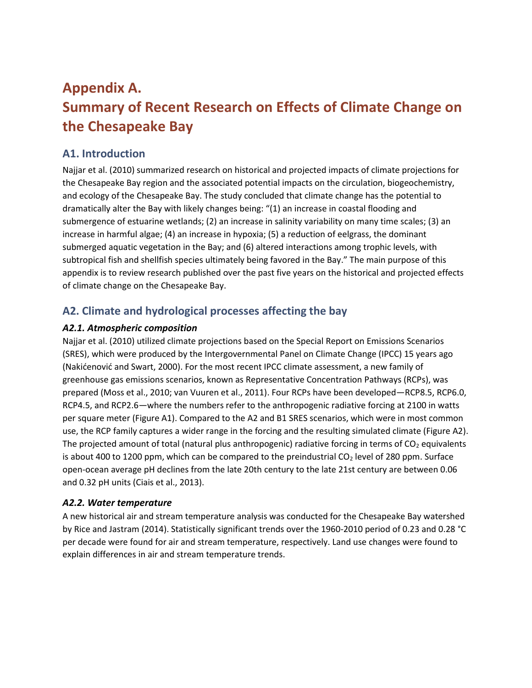# **Appendix A. Summary of Recent Research on Effects of Climate Change on the Chesapeake Bay**

### **A1. Introduction**

Najjar et al. (2010) summarized research on historical and projected impacts of climate projections for the Chesapeake Bay region and the associated potential impacts on the circulation, biogeochemistry, and ecology of the Chesapeake Bay. The study concluded that climate change has the potential to dramatically alter the Bay with likely changes being: "(1) an increase in coastal flooding and submergence of estuarine wetlands; (2) an increase in salinity variability on many time scales; (3) an increase in harmful algae; (4) an increase in hypoxia; (5) a reduction of eelgrass, the dominant submerged aquatic vegetation in the Bay; and (6) altered interactions among trophic levels, with subtropical fish and shellfish species ultimately being favored in the Bay." The main purpose of this appendix is to review research published over the past five years on the historical and projected effects of climate change on the Chesapeake Bay.

## **A2. Climate and hydrological processes affecting the bay**

### *A2.1. Atmospheric composition*

Najjar et al. (2010) utilized climate projections based on the Special Report on Emissions Scenarios (SRES), which were produced by the Intergovernmental Panel on Climate Change (IPCC) 15 years ago (Nakićenović and Swart, 2000). For the most recent IPCC climate assessment, a new family of greenhouse gas emissions scenarios, known as Representative Concentration Pathways (RCPs), was prepared (Moss et al., 2010; van Vuuren et al., 2011). Four RCPs have been developed—RCP8.5, RCP6.0, RCP4.5, and RCP2.6—where the numbers refer to the anthropogenic radiative forcing at 2100 in watts per square meter (Figure A1). Compared to the A2 and B1 SRES scenarios, which were in most common use, the RCP family captures a wider range in the forcing and the resulting simulated climate (Figure A2). The projected amount of total (natural plus anthropogenic) radiative forcing in terms of  $CO<sub>2</sub>$  equivalents is about 400 to 1200 ppm, which can be compared to the preindustrial  $CO<sub>2</sub>$  level of 280 ppm. Surface open-ocean average pH declines from the late 20th century to the late 21st century are between 0.06 and 0.32 pH units (Ciais et al., 2013).

### *A2.2. Water temperature*

A new historical air and stream temperature analysis was conducted for the Chesapeake Bay watershed by Rice and Jastram (2014). Statistically significant trends over the 1960-2010 period of 0.23 and 0.28 °C per decade were found for air and stream temperature, respectively. Land use changes were found to explain differences in air and stream temperature trends.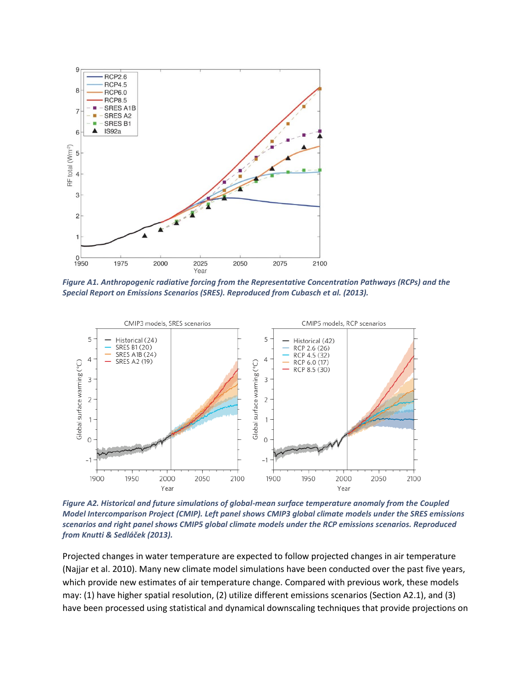

*Figure A1. Anthropogenic radiative forcing from the Representative Concentration Pathways (RCPs) and the Special Report on Emissions Scenarios (SRES). Reproduced from Cubasch et al. (2013).*



*Figure A2. Historical and future simulations of global-mean surface temperature anomaly from the Coupled Model Intercomparison Project (CMIP). Left panel shows CMIP3 global climate models under the SRES emissions scenarios and right panel shows CMIP5 global climate models under the RCP emissions scenarios. Reproduced from Knutti & Sedláček (2013).*

Projected changes in water temperature are expected to follow projected changes in air temperature (Najjar et al. 2010). Many new climate model simulations have been conducted over the past five years, which provide new estimates of air temperature change. Compared with previous work, these models may: (1) have higher spatial resolution, (2) utilize different emissions scenarios (Section A2.1), and (3) have been processed using statistical and dynamical downscaling techniques that provide projections on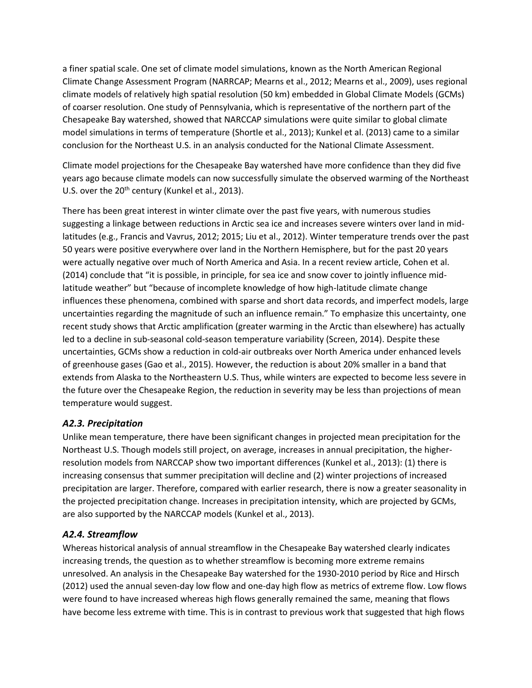a finer spatial scale. One set of climate model simulations, known as the North American Regional Climate Change Assessment Program (NARRCAP; Mearns et al., 2012; Mearns et al., 2009), uses regional climate models of relatively high spatial resolution (50 km) embedded in Global Climate Models (GCMs) of coarser resolution. One study of Pennsylvania, which is representative of the northern part of the Chesapeake Bay watershed, showed that NARCCAP simulations were quite similar to global climate model simulations in terms of temperature (Shortle et al., 2013); Kunkel et al. (2013) came to a similar conclusion for the Northeast U.S. in an analysis conducted for the National Climate Assessment.

Climate model projections for the Chesapeake Bay watershed have more confidence than they did five years ago because climate models can now successfully simulate the observed warming of the Northeast U.S. over the 20<sup>th</sup> century (Kunkel et al., 2013).

There has been great interest in winter climate over the past five years, with numerous studies suggesting a linkage between reductions in Arctic sea ice and increases severe winters over land in midlatitudes (e.g., Francis and Vavrus, 2012; 2015; Liu et al., 2012). Winter temperature trends over the past 50 years were positive everywhere over land in the Northern Hemisphere, but for the past 20 years were actually negative over much of North America and Asia. In a recent review article, Cohen et al. (2014) conclude that "it is possible, in principle, for sea ice and snow cover to jointly influence midlatitude weather" but "because of incomplete knowledge of how high-latitude climate change influences these phenomena, combined with sparse and short data records, and imperfect models, large uncertainties regarding the magnitude of such an influence remain." To emphasize this uncertainty, one recent study shows that Arctic amplification (greater warming in the Arctic than elsewhere) has actually led to a decline in sub-seasonal cold-season temperature variability (Screen, 2014). Despite these uncertainties, GCMs show a reduction in cold-air outbreaks over North America under enhanced levels of greenhouse gases (Gao et al., 2015). However, the reduction is about 20% smaller in a band that extends from Alaska to the Northeastern U.S. Thus, while winters are expected to become less severe in the future over the Chesapeake Region, the reduction in severity may be less than projections of mean temperature would suggest.

### *A2.3. Precipitation*

Unlike mean temperature, there have been significant changes in projected mean precipitation for the Northeast U.S. Though models still project, on average, increases in annual precipitation, the higherresolution models from NARCCAP show two important differences (Kunkel et al., 2013): (1) there is increasing consensus that summer precipitation will decline and (2) winter projections of increased precipitation are larger. Therefore, compared with earlier research, there is now a greater seasonality in the projected precipitation change. Increases in precipitation intensity, which are projected by GCMs, are also supported by the NARCCAP models (Kunkel et al., 2013).

### *A2.4. Streamflow*

Whereas historical analysis of annual streamflow in the Chesapeake Bay watershed clearly indicates increasing trends, the question as to whether streamflow is becoming more extreme remains unresolved. An analysis in the Chesapeake Bay watershed for the 1930-2010 period by Rice and Hirsch (2012) used the annual seven-day low flow and one-day high flow as metrics of extreme flow. Low flows were found to have increased whereas high flows generally remained the same, meaning that flows have become less extreme with time. This is in contrast to previous work that suggested that high flows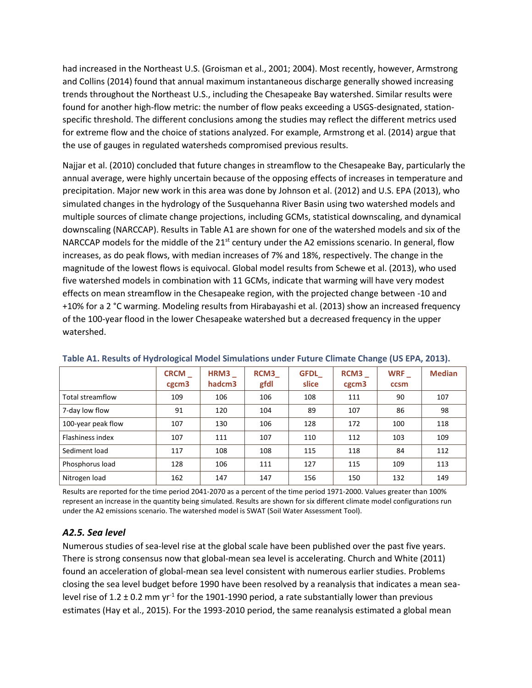had increased in the Northeast U.S. (Groisman et al., 2001; 2004). Most recently, however, Armstrong and Collins (2014) found that annual maximum instantaneous discharge generally showed increasing trends throughout the Northeast U.S., including the Chesapeake Bay watershed. Similar results were found for another high-flow metric: the number of flow peaks exceeding a USGS-designated, stationspecific threshold. The different conclusions among the studies may reflect the different metrics used for extreme flow and the choice of stations analyzed. For example, Armstrong et al. (2014) argue that the use of gauges in regulated watersheds compromised previous results.

Najjar et al. (2010) concluded that future changes in streamflow to the Chesapeake Bay, particularly the annual average, were highly uncertain because of the opposing effects of increases in temperature and precipitation. Major new work in this area was done by Johnson et al. (2012) and U.S. EPA (2013), who simulated changes in the hydrology of the Susquehanna River Basin using two watershed models and multiple sources of climate change projections, including GCMs, statistical downscaling, and dynamical downscaling (NARCCAP). Results in Table A1 are shown for one of the watershed models and six of the NARCCAP models for the middle of the  $21<sup>st</sup>$  century under the A2 emissions scenario. In general, flow increases, as do peak flows, with median increases of 7% and 18%, respectively. The change in the magnitude of the lowest flows is equivocal. Global model results from Schewe et al. (2013), who used five watershed models in combination with 11 GCMs, indicate that warming will have very modest effects on mean streamflow in the Chesapeake region, with the projected change between -10 and +10% for a 2 °C warming. Modeling results from Hirabayashi et al. (2013) show an increased frequency of the 100-year flood in the lower Chesapeake watershed but a decreased frequency in the upper watershed.

|                    | <b>CRCM</b><br>cgcm3 | HRM3<br>hadcm3 | <b>RCM3</b><br>gfdl | <b>GFDL</b><br>slice | RCM3<br>cgcm3 | <b>WRF</b><br>ccsm | <b>Median</b> |
|--------------------|----------------------|----------------|---------------------|----------------------|---------------|--------------------|---------------|
| Total streamflow   | 109                  | 106            | 106                 | 108                  | 111           | 90                 | 107           |
| 7-day low flow     | 91                   | 120            | 104                 | 89                   | 107           | 86                 | 98            |
| 100-year peak flow | 107                  | 130            | 106                 | 128                  | 172           | 100                | 118           |
| Flashiness index   | 107                  | 111            | 107                 | 110                  | 112           | 103                | 109           |
| Sediment load      | 117                  | 108            | 108                 | 115                  | 118           | 84                 | 112           |
| Phosphorus load    | 128                  | 106            | 111                 | 127                  | 115           | 109                | 113           |
| Nitrogen load      | 162                  | 147            | 147                 | 156                  | 150           | 132                | 149           |

#### **Table A1. Results of Hydrological Model Simulations under Future Climate Change (US EPA, 2013).**

Results are reported for the time period 2041-2070 as a percent of the time period 1971-2000. Values greater than 100% represent an increase in the quantity being simulated. Results are shown for six different climate model configurations run under the A2 emissions scenario. The watershed model is SWAT (Soil Water Assessment Tool).

#### *A2.5. Sea level*

Numerous studies of sea-level rise at the global scale have been published over the past five years. There is strong consensus now that global-mean sea level is accelerating. Church and White (2011) found an acceleration of global-mean sea level consistent with numerous earlier studies. Problems closing the sea level budget before 1990 have been resolved by a reanalysis that indicates a mean sealevel rise of 1.2  $\pm$  0.2 mm yr<sup>-1</sup> for the 1901-1990 period, a rate substantially lower than previous estimates (Hay et al., 2015). For the 1993-2010 period, the same reanalysis estimated a global mean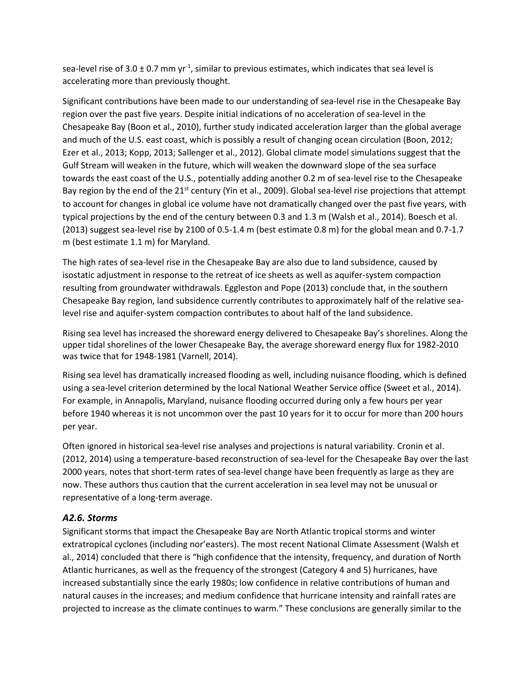sea-level rise of 3.0  $\pm$  0.7 mm yr<sup>-1</sup>, similar to previous estimates, which indicates that sea level is accelerating more than previously thought.

Significant contributions have been made to our understanding of sea-level rise in the Chesapeake Bay region over the past five years. Despite initial indications of no acceleration of sea-level in the Chesapeake Bay (Boon et al., 2010), further study indicated acceleration larger than the global average and much of the U.S. east coast, which is possibly a result of changing ocean circulation (Boon, 2012; Ezer et al., 2013; Kopp, 2013; Sallenger et al., 2012). Global climate model simulations suggest that the Gulf Stream will weaken in the future, which will weaken the downward slope of the sea surface towards the east coast of the U.S., potentially adding another 0.2 m of sea-level rise to the Chesapeake Bay region by the end of the 21<sup>st</sup> century (Yin et al., 2009). Global sea-level rise projections that attempt to account for changes in global ice volume have not dramatically changed over the past five years, with typical projections by the end of the century between 0.3 and 1.3 m (Walsh et al., 2014). Boesch et al. (2013) suggest sea-level rise by 2100 of 0.5-1.4 m (best estimate 0.8 m) for the global mean and 0.7-1.7 m (best estimate 1.1 m) for Maryland.

The high rates of sea-level rise in the Chesapeake Bay are also due to land subsidence, caused by isostatic adjustment in response to the retreat of ice sheets as well as aquifer-system compaction resulting from groundwater withdrawals. Eggleston and Pope (2013) conclude that, in the southern Chesapeake Bay region, land subsidence currently contributes to approximately half of the relative sealevel rise and aquifer-system compaction contributes to about half of the land subsidence.

Rising sea level has increased the shoreward energy delivered to Chesapeake Bay's shorelines. Along the upper tidal shorelines of the lower Chesapeake Bay, the average shoreward energy flux for 1982-2010 was twice that for 1948-1981 (Varnell, 2014).

Rising sea level has dramatically increased flooding as well, including nuisance flooding, which is defined using a sea-level criterion determined by the local National Weather Service office (Sweet et al., 2014). For example, in Annapolis, Maryland, nuisance flooding occurred during only a few hours per year before 1940 whereas it is not uncommon over the past 10 years for it to occur for more than 200 hours per year.

Often ignored in historical sea-level rise analyses and projections is natural variability. Cronin et al. (2012, 2014) using a temperature-based reconstruction of sea-level for the Chesapeake Bay over the last 2000 years, notes that short-term rates of sea-level change have been frequently as large as they are now. These authors thus caution that the current acceleration in sea level may not be unusual or representative of a long-term average.

#### *A2.6. Storms*

Significant storms that impact the Chesapeake Bay are North Atlantic tropical storms and winter extratropical cyclones (including nor'easters). The most recent National Climate Assessment (Walsh et al., 2014) concluded that there is "high confidence that the intensity, frequency, and duration of North Atlantic hurricanes, as well as the frequency of the strongest (Category 4 and 5) hurricanes, have increased substantially since the early 1980s; low confidence in relative contributions of human and natural causes in the increases; and medium confidence that hurricane intensity and rainfall rates are projected to increase as the climate continues to warm." These conclusions are generally similar to the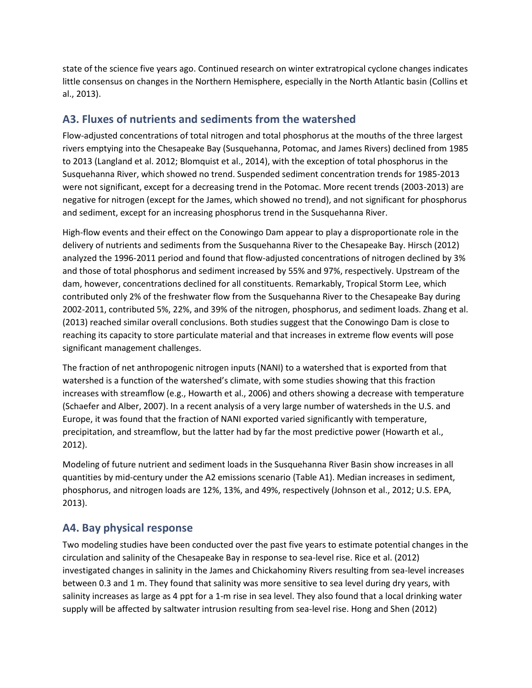state of the science five years ago. Continued research on winter extratropical cyclone changes indicates little consensus on changes in the Northern Hemisphere, especially in the North Atlantic basin (Collins et al., 2013).

### **A3. Fluxes of nutrients and sediments from the watershed**

Flow-adjusted concentrations of total nitrogen and total phosphorus at the mouths of the three largest rivers emptying into the Chesapeake Bay (Susquehanna, Potomac, and James Rivers) declined from 1985 to 2013 (Langland et al. 2012; Blomquist et al., 2014), with the exception of total phosphorus in the Susquehanna River, which showed no trend. Suspended sediment concentration trends for 1985-2013 were not significant, except for a decreasing trend in the Potomac. More recent trends (2003-2013) are negative for nitrogen (except for the James, which showed no trend), and not significant for phosphorus and sediment, except for an increasing phosphorus trend in the Susquehanna River.

High-flow events and their effect on the Conowingo Dam appear to play a disproportionate role in the delivery of nutrients and sediments from the Susquehanna River to the Chesapeake Bay. Hirsch (2012) analyzed the 1996-2011 period and found that flow-adjusted concentrations of nitrogen declined by 3% and those of total phosphorus and sediment increased by 55% and 97%, respectively. Upstream of the dam, however, concentrations declined for all constituents. Remarkably, Tropical Storm Lee, which contributed only 2% of the freshwater flow from the Susquehanna River to the Chesapeake Bay during 2002-2011, contributed 5%, 22%, and 39% of the nitrogen, phosphorus, and sediment loads. Zhang et al. (2013) reached similar overall conclusions. Both studies suggest that the Conowingo Dam is close to reaching its capacity to store particulate material and that increases in extreme flow events will pose significant management challenges.

The fraction of net anthropogenic nitrogen inputs (NANI) to a watershed that is exported from that watershed is a function of the watershed's climate, with some studies showing that this fraction increases with streamflow (e.g., Howarth et al., 2006) and others showing a decrease with temperature (Schaefer and Alber, 2007). In a recent analysis of a very large number of watersheds in the U.S. and Europe, it was found that the fraction of NANI exported varied significantly with temperature, precipitation, and streamflow, but the latter had by far the most predictive power (Howarth et al., 2012).

Modeling of future nutrient and sediment loads in the Susquehanna River Basin show increases in all quantities by mid-century under the A2 emissions scenario (Table A1). Median increases in sediment, phosphorus, and nitrogen loads are 12%, 13%, and 49%, respectively (Johnson et al., 2012; U.S. EPA, 2013).

### **A4. Bay physical response**

Two modeling studies have been conducted over the past five years to estimate potential changes in the circulation and salinity of the Chesapeake Bay in response to sea-level rise. Rice et al. (2012) investigated changes in salinity in the James and Chickahominy Rivers resulting from sea-level increases between 0.3 and 1 m. They found that salinity was more sensitive to sea level during dry years, with salinity increases as large as 4 ppt for a 1-m rise in sea level. They also found that a local drinking water supply will be affected by saltwater intrusion resulting from sea-level rise. Hong and Shen (2012)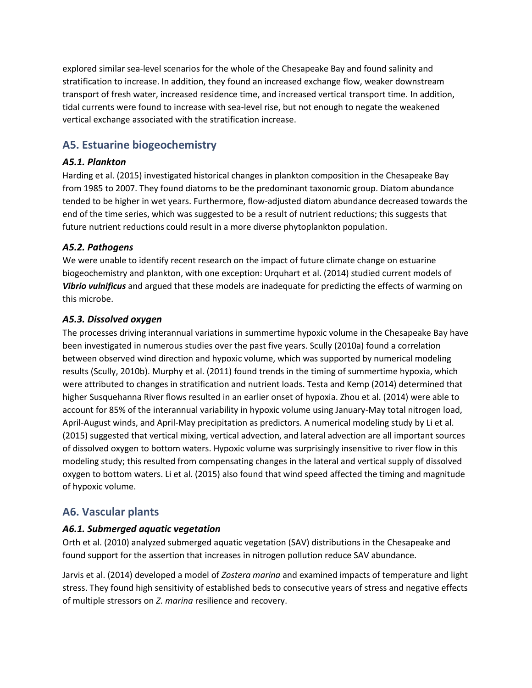explored similar sea-level scenarios for the whole of the Chesapeake Bay and found salinity and stratification to increase. In addition, they found an increased exchange flow, weaker downstream transport of fresh water, increased residence time, and increased vertical transport time. In addition, tidal currents were found to increase with sea-level rise, but not enough to negate the weakened vertical exchange associated with the stratification increase.

### **A5. Estuarine biogeochemistry**

#### *A5.1. Plankton*

Harding et al. (2015) investigated historical changes in plankton composition in the Chesapeake Bay from 1985 to 2007. They found diatoms to be the predominant taxonomic group. Diatom abundance tended to be higher in wet years. Furthermore, flow-adjusted diatom abundance decreased towards the end of the time series, which was suggested to be a result of nutrient reductions; this suggests that future nutrient reductions could result in a more diverse phytoplankton population.

#### *A5.2. Pathogens*

We were unable to identify recent research on the impact of future climate change on estuarine biogeochemistry and plankton, with one exception: Urquhart et al. (2014) studied current models of *Vibrio vulnificus* and argued that these models are inadequate for predicting the effects of warming on this microbe.

#### *A5.3. Dissolved oxygen*

The processes driving interannual variations in summertime hypoxic volume in the Chesapeake Bay have been investigated in numerous studies over the past five years. Scully (2010a) found a correlation between observed wind direction and hypoxic volume, which was supported by numerical modeling results (Scully, 2010b). Murphy et al. (2011) found trends in the timing of summertime hypoxia, which were attributed to changes in stratification and nutrient loads. Testa and Kemp (2014) determined that higher Susquehanna River flows resulted in an earlier onset of hypoxia. Zhou et al. (2014) were able to account for 85% of the interannual variability in hypoxic volume using January-May total nitrogen load, April-August winds, and April-May precipitation as predictors. A numerical modeling study by Li et al. (2015) suggested that vertical mixing, vertical advection, and lateral advection are all important sources of dissolved oxygen to bottom waters. Hypoxic volume was surprisingly insensitive to river flow in this modeling study; this resulted from compensating changes in the lateral and vertical supply of dissolved oxygen to bottom waters. Li et al. (2015) also found that wind speed affected the timing and magnitude of hypoxic volume.

### **A6. Vascular plants**

### *A6.1. Submerged aquatic vegetation*

Orth et al. (2010) analyzed submerged aquatic vegetation (SAV) distributions in the Chesapeake and found support for the assertion that increases in nitrogen pollution reduce SAV abundance.

Jarvis et al. (2014) developed a model of *Zostera marina* and examined impacts of temperature and light stress. They found high sensitivity of established beds to consecutive years of stress and negative effects of multiple stressors on *Z. marina* resilience and recovery.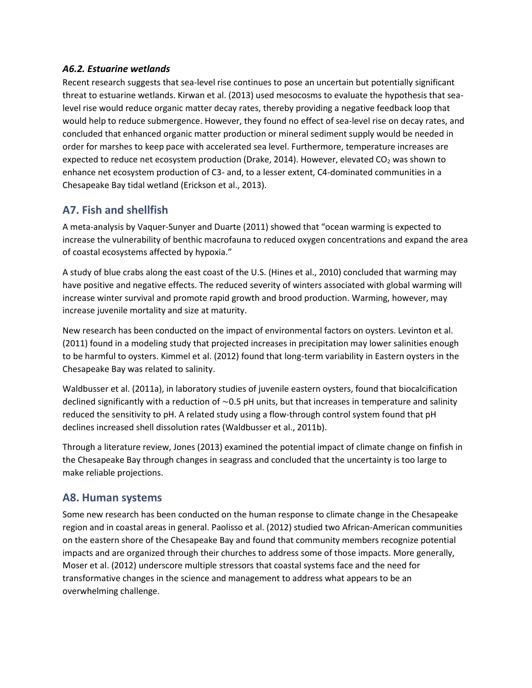#### *A6.2. Estuarine wetlands*

Recent research suggests that sea-level rise continues to pose an uncertain but potentially significant threat to estuarine wetlands. Kirwan et al. (2013) used mesocosms to evaluate the hypothesis that sealevel rise would reduce organic matter decay rates, thereby providing a negative feedback loop that would help to reduce submergence. However, they found no effect of sea-level rise on decay rates, and concluded that enhanced organic matter production or mineral sediment supply would be needed in order for marshes to keep pace with accelerated sea level. Furthermore, temperature increases are expected to reduce net ecosystem production (Drake, 2014). However, elevated  $CO<sub>2</sub>$  was shown to enhance net ecosystem production of C3- and, to a lesser extent, C4-dominated communities in a Chesapeake Bay tidal wetland (Erickson et al., 2013).

### **A7. Fish and shellfish**

A meta-analysis by Vaquer-Sunyer and Duarte (2011) showed that "ocean warming is expected to increase the vulnerability of benthic macrofauna to reduced oxygen concentrations and expand the area of coastal ecosystems affected by hypoxia."

A study of blue crabs along the east coast of the U.S. (Hines et al., 2010) concluded that warming may have positive and negative effects. The reduced severity of winters associated with global warming will increase winter survival and promote rapid growth and brood production. Warming, however, may increase juvenile mortality and size at maturity.

New research has been conducted on the impact of environmental factors on oysters. Levinton et al. (2011) found in a modeling study that projected increases in precipitation may lower salinities enough to be harmful to oysters. Kimmel et al. (2012) found that long-term variability in Eastern oysters in the Chesapeake Bay was related to salinity.

Waldbusser et al. (2011a), in laboratory studies of juvenile eastern oysters, found that biocalcification declined significantly with a reduction of ∼0.5 pH units, but that increases in temperature and salinity reduced the sensitivity to pH. A related study using a flow-through control system found that pH declines increased shell dissolution rates (Waldbusser et al., 2011b).

Through a literature review, Jones (2013) examined the potential impact of climate change on finfish in the Chesapeake Bay through changes in seagrass and concluded that the uncertainty is too large to make reliable projections.

### **A8. Human systems**

Some new research has been conducted on the human response to climate change in the Chesapeake region and in coastal areas in general. Paolisso et al. (2012) studied two African-American communities on the eastern shore of the Chesapeake Bay and found that community members recognize potential impacts and are organized through their churches to address some of those impacts. More generally, Moser et al. (2012) underscore multiple stressors that coastal systems face and the need for transformative changes in the science and management to address what appears to be an overwhelming challenge.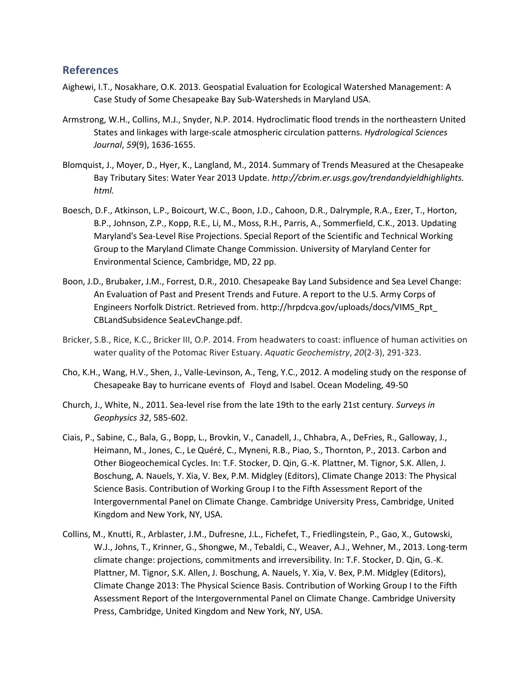#### **References**

- Aighewi, I.T., Nosakhare, O.K. 2013. Geospatial Evaluation for Ecological Watershed Management: A Case Study of Some Chesapeake Bay Sub-Watersheds in Maryland USA.
- Armstrong, W.H., Collins, M.J., Snyder, N.P. 2014. Hydroclimatic flood trends in the northeastern United States and linkages with large-scale atmospheric circulation patterns. *Hydrological Sciences Journal*, *59*(9), 1636-1655.
- Blomquist, J., Moyer, D., Hyer, K., Langland, M., 2014. Summary of Trends Measured at the Chesapeake Bay Tributary Sites: Water Year 2013 Update. *http://cbrim.er.usgs.gov/trendandyieldhighlights. html.*
- Boesch, D.F., Atkinson, L.P., Boicourt, W.C., Boon, J.D., Cahoon, D.R., Dalrymple, R.A., Ezer, T., Horton, B.P., Johnson, Z.P., Kopp, R.E., Li, M., Moss, R.H., Parris, A., Sommerfield, C.K., 2013. Updating Maryland's Sea-Level Rise Projections. Special Report of the Scientific and Technical Working Group to the Maryland Climate Change Commission. University of Maryland Center for Environmental Science, Cambridge, MD, 22 pp.
- Boon, J.D., Brubaker, J.M., Forrest, D.R., 2010. Chesapeake Bay Land Subsidence and Sea Level Change: An Evaluation of Past and Present Trends and Future. A report to the U.S. Army Corps of Engineers Norfolk District. Retrieved from. http://hrpdcva.gov/uploads/docs/VIMS\_Rpt\_ CBLandSubsidence SeaLevChange.pdf.
- Bricker, S.B., Rice, K.C., Bricker III, O.P. 2014. From headwaters to coast: influence of human activities on water quality of the Potomac River Estuary. *Aquatic Geochemistry*, *20*(2-3), 291-323.
- Cho, K.H., Wang, H.V., Shen, J., Valle-Levinson, A., Teng, Y.C., 2012. A modeling study on the response of Chesapeake Bay to hurricane events of Floyd and Isabel. Ocean Modeling, 49-50
- Church, J., White, N., 2011. Sea-level rise from the late 19th to the early 21st century. *Surveys in Geophysics 32*, 585-602.
- Ciais, P., Sabine, C., Bala, G., Bopp, L., Brovkin, V., Canadell, J., Chhabra, A., DeFries, R., Galloway, J., Heimann, M., Jones, C., Le Quéré, C., Myneni, R.B., Piao, S., Thornton, P., 2013. Carbon and Other Biogeochemical Cycles. In: T.F. Stocker, D. Qin, G.-K. Plattner, M. Tignor, S.K. Allen, J. Boschung, A. Nauels, Y. Xia, V. Bex, P.M. Midgley (Editors), Climate Change 2013: The Physical Science Basis. Contribution of Working Group I to the Fifth Assessment Report of the Intergovernmental Panel on Climate Change. Cambridge University Press, Cambridge, United Kingdom and New York, NY, USA.
- Collins, M., Knutti, R., Arblaster, J.M., Dufresne, J.L., Fichefet, T., Friedlingstein, P., Gao, X., Gutowski, W.J., Johns, T., Krinner, G., Shongwe, M., Tebaldi, C., Weaver, A.J., Wehner, M., 2013. Long-term climate change: projections, commitments and irreversibility. In: T.F. Stocker, D. Qin, G.-K. Plattner, M. Tignor, S.K. Allen, J. Boschung, A. Nauels, Y. Xia, V. Bex, P.M. Midgley (Editors), Climate Change 2013: The Physical Science Basis. Contribution of Working Group I to the Fifth Assessment Report of the Intergovernmental Panel on Climate Change. Cambridge University Press, Cambridge, United Kingdom and New York, NY, USA.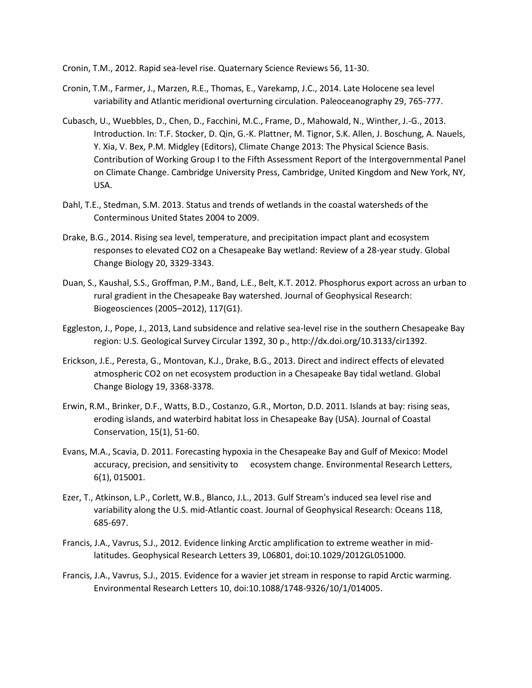- Cronin, T.M., 2012. Rapid sea-level rise. Quaternary Science Reviews 56, 11-30.
- Cronin, T.M., Farmer, J., Marzen, R.E., Thomas, E., Varekamp, J.C., 2014. Late Holocene sea level variability and Atlantic meridional overturning circulation. Paleoceanography 29, 765-777.
- Cubasch, U., Wuebbles, D., Chen, D., Facchini, M.C., Frame, D., Mahowald, N., Winther, J.-G., 2013. Introduction. In: T.F. Stocker, D. Qin, G.-K. Plattner, M. Tignor, S.K. Allen, J. Boschung, A. Nauels, Y. Xia, V. Bex, P.M. Midgley (Editors), Climate Change 2013: The Physical Science Basis. Contribution of Working Group I to the Fifth Assessment Report of the Intergovernmental Panel on Climate Change. Cambridge University Press, Cambridge, United Kingdom and New York, NY, USA.
- Dahl, T.E., Stedman, S.M. 2013. Status and trends of wetlands in the coastal watersheds of the Conterminous United States 2004 to 2009.
- Drake, B.G., 2014. Rising sea level, temperature, and precipitation impact plant and ecosystem responses to elevated CO2 on a Chesapeake Bay wetland: Review of a 28-year study. Global Change Biology 20, 3329-3343.
- Duan, S., Kaushal, S.S., Groffman, P.M., Band, L.E., Belt, K.T. 2012. Phosphorus export across an urban to rural gradient in the Chesapeake Bay watershed. Journal of Geophysical Research: Biogeosciences (2005–2012), 117(G1).
- Eggleston, J., Pope, J., 2013, Land subsidence and relative sea-level rise in the southern Chesapeake Bay region: U.S. Geological Survey Circular 1392, 30 p., http://dx.doi.org/10.3133/cir1392.
- Erickson, J.E., Peresta, G., Montovan, K.J., Drake, B.G., 2013. Direct and indirect effects of elevated atmospheric CO2 on net ecosystem production in a Chesapeake Bay tidal wetland. Global Change Biology 19, 3368-3378.
- Erwin, R.M., Brinker, D.F., Watts, B.D., Costanzo, G.R., Morton, D.D. 2011. Islands at bay: rising seas, eroding islands, and waterbird habitat loss in Chesapeake Bay (USA). Journal of Coastal Conservation, 15(1), 51-60.
- Evans, M.A., Scavia, D. 2011. Forecasting hypoxia in the Chesapeake Bay and Gulf of Mexico: Model accuracy, precision, and sensitivity to ecosystem change. Environmental Research Letters, 6(1), 015001.
- Ezer, T., Atkinson, L.P., Corlett, W.B., Blanco, J.L., 2013. Gulf Stream's induced sea level rise and variability along the U.S. mid-Atlantic coast. Journal of Geophysical Research: Oceans 118, 685-697.
- Francis, J.A., Vavrus, S.J., 2012. Evidence linking Arctic amplification to extreme weather in midlatitudes. Geophysical Research Letters 39, L06801, doi:10.1029/2012GL051000.
- Francis, J.A., Vavrus, S.J., 2015. Evidence for a wavier jet stream in response to rapid Arctic warming. Environmental Research Letters 10, doi:10.1088/1748-9326/10/1/014005.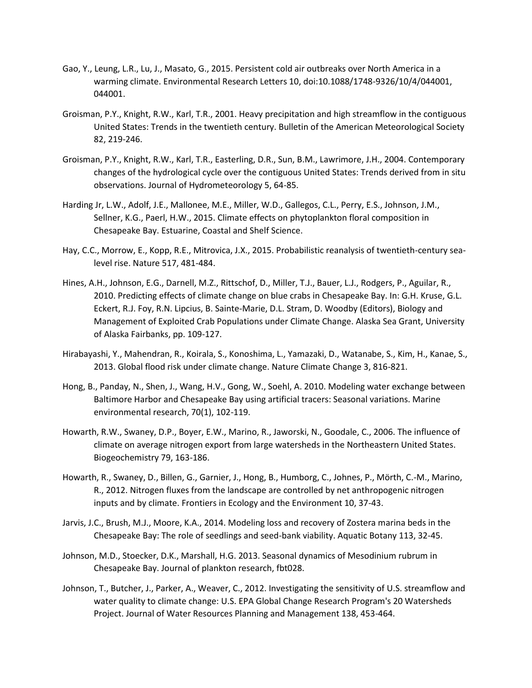- Gao, Y., Leung, L.R., Lu, J., Masato, G., 2015. Persistent cold air outbreaks over North America in a warming climate. Environmental Research Letters 10, doi:10.1088/1748-9326/10/4/044001, 044001.
- Groisman, P.Y., Knight, R.W., Karl, T.R., 2001. Heavy precipitation and high streamflow in the contiguous United States: Trends in the twentieth century. Bulletin of the American Meteorological Society 82, 219-246.
- Groisman, P.Y., Knight, R.W., Karl, T.R., Easterling, D.R., Sun, B.M., Lawrimore, J.H., 2004. Contemporary changes of the hydrological cycle over the contiguous United States: Trends derived from in situ observations. Journal of Hydrometeorology 5, 64-85.
- Harding Jr, L.W., Adolf, J.E., Mallonee, M.E., Miller, W.D., Gallegos, C.L., Perry, E.S., Johnson, J.M., Sellner, K.G., Paerl, H.W., 2015. Climate effects on phytoplankton floral composition in Chesapeake Bay. Estuarine, Coastal and Shelf Science.
- Hay, C.C., Morrow, E., Kopp, R.E., Mitrovica, J.X., 2015. Probabilistic reanalysis of twentieth-century sealevel rise. Nature 517, 481-484.
- Hines, A.H., Johnson, E.G., Darnell, M.Z., Rittschof, D., Miller, T.J., Bauer, L.J., Rodgers, P., Aguilar, R., 2010. Predicting effects of climate change on blue crabs in Chesapeake Bay. In: G.H. Kruse, G.L. Eckert, R.J. Foy, R.N. Lipcius, B. Sainte-Marie, D.L. Stram, D. Woodby (Editors), Biology and Management of Exploited Crab Populations under Climate Change. Alaska Sea Grant, University of Alaska Fairbanks, pp. 109-127.
- Hirabayashi, Y., Mahendran, R., Koirala, S., Konoshima, L., Yamazaki, D., Watanabe, S., Kim, H., Kanae, S., 2013. Global flood risk under climate change. Nature Climate Change 3, 816-821.
- Hong, B., Panday, N., Shen, J., Wang, H.V., Gong, W., Soehl, A. 2010. Modeling water exchange between Baltimore Harbor and Chesapeake Bay using artificial tracers: Seasonal variations. Marine environmental research, 70(1), 102-119.
- Howarth, R.W., Swaney, D.P., Boyer, E.W., Marino, R., Jaworski, N., Goodale, C., 2006. The influence of climate on average nitrogen export from large watersheds in the Northeastern United States. Biogeochemistry 79, 163-186.
- Howarth, R., Swaney, D., Billen, G., Garnier, J., Hong, B., Humborg, C., Johnes, P., Mörth, C.-M., Marino, R., 2012. Nitrogen fluxes from the landscape are controlled by net anthropogenic nitrogen inputs and by climate. Frontiers in Ecology and the Environment 10, 37-43.
- Jarvis, J.C., Brush, M.J., Moore, K.A., 2014. Modeling loss and recovery of Zostera marina beds in the Chesapeake Bay: The role of seedlings and seed-bank viability. Aquatic Botany 113, 32-45.
- Johnson, M.D., Stoecker, D.K., Marshall, H.G. 2013. Seasonal dynamics of Mesodinium rubrum in Chesapeake Bay. Journal of plankton research, fbt028.
- Johnson, T., Butcher, J., Parker, A., Weaver, C., 2012. Investigating the sensitivity of U.S. streamflow and water quality to climate change: U.S. EPA Global Change Research Program's 20 Watersheds Project. Journal of Water Resources Planning and Management 138, 453-464.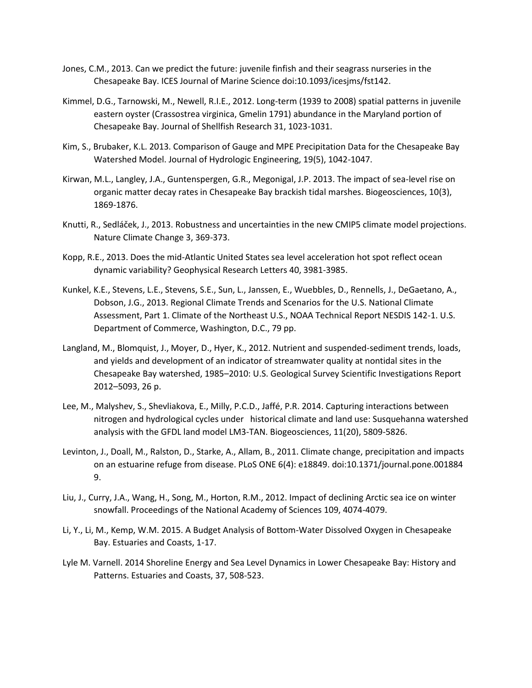- Jones, C.M., 2013. Can we predict the future: juvenile finfish and their seagrass nurseries in the Chesapeake Bay. ICES Journal of Marine Science doi:10.1093/icesjms/fst142.
- Kimmel, D.G., Tarnowski, M., Newell, R.I.E., 2012. Long-term (1939 to 2008) spatial patterns in juvenile eastern oyster (Crassostrea virginica, Gmelin 1791) abundance in the Maryland portion of Chesapeake Bay. Journal of Shellfish Research 31, 1023-1031.
- Kim, S., Brubaker, K.L. 2013. Comparison of Gauge and MPE Precipitation Data for the Chesapeake Bay Watershed Model. Journal of Hydrologic Engineering, 19(5), 1042-1047.
- Kirwan, M.L., Langley, J.A., Guntenspergen, G.R., Megonigal, J.P. 2013. The impact of sea-level rise on organic matter decay rates in Chesapeake Bay brackish tidal marshes. Biogeosciences, 10(3), 1869-1876.
- Knutti, R., Sedláček, J., 2013. Robustness and uncertainties in the new CMIP5 climate model projections. Nature Climate Change 3, 369-373.
- Kopp, R.E., 2013. Does the mid-Atlantic United States sea level acceleration hot spot reflect ocean dynamic variability? Geophysical Research Letters 40, 3981-3985.
- Kunkel, K.E., Stevens, L.E., Stevens, S.E., Sun, L., Janssen, E., Wuebbles, D., Rennells, J., DeGaetano, A., Dobson, J.G., 2013. Regional Climate Trends and Scenarios for the U.S. National Climate Assessment, Part 1. Climate of the Northeast U.S., NOAA Technical Report NESDIS 142-1. U.S. Department of Commerce, Washington, D.C., 79 pp.
- Langland, M., Blomquist, J., Moyer, D., Hyer, K., 2012. Nutrient and suspended-sediment trends, loads, and yields and development of an indicator of streamwater quality at nontidal sites in the Chesapeake Bay watershed, 1985–2010: U.S. Geological Survey Scientific Investigations Report 2012–5093, 26 p.
- Lee, M., Malyshev, S., Shevliakova, E., Milly, P.C.D., Jaffé, P.R. 2014. Capturing interactions between nitrogen and hydrological cycles under historical climate and land use: Susquehanna watershed analysis with the GFDL land model LM3-TAN. Biogeosciences, 11(20), 5809-5826.
- Levinton, J., Doall, M., Ralston, D., Starke, A., Allam, B., 2011. Climate change, precipitation and impacts on an estuarine refuge from disease. PLoS ONE 6(4): e18849. doi:10.1371/journal.pone.001884 9.
- Liu, J., Curry, J.A., Wang, H., Song, M., Horton, R.M., 2012. Impact of declining Arctic sea ice on winter snowfall. Proceedings of the National Academy of Sciences 109, 4074-4079.
- Li, Y., Li, M., Kemp, W.M. 2015. A Budget Analysis of Bottom-Water Dissolved Oxygen in Chesapeake Bay. Estuaries and Coasts, 1-17.
- Lyle M. Varnell. 2014 Shoreline Energy and Sea Level Dynamics in Lower Chesapeake Bay: History and Patterns. Estuaries and Coasts, 37, 508-523.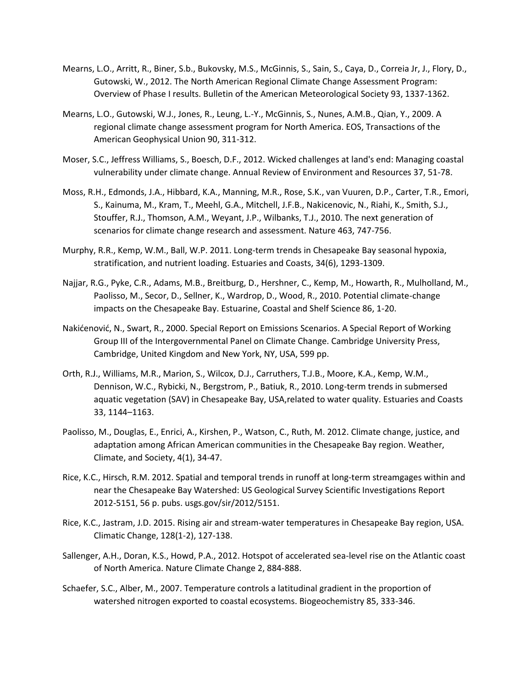- Mearns, L.O., Arritt, R., Biner, S.b., Bukovsky, M.S., McGinnis, S., Sain, S., Caya, D., Correia Jr, J., Flory, D., Gutowski, W., 2012. The North American Regional Climate Change Assessment Program: Overview of Phase I results. Bulletin of the American Meteorological Society 93, 1337-1362.
- Mearns, L.O., Gutowski, W.J., Jones, R., Leung, L.-Y., McGinnis, S., Nunes, A.M.B., Qian, Y., 2009. A regional climate change assessment program for North America. EOS, Transactions of the American Geophysical Union 90, 311-312.
- Moser, S.C., Jeffress Williams, S., Boesch, D.F., 2012. Wicked challenges at land's end: Managing coastal vulnerability under climate change. Annual Review of Environment and Resources 37, 51-78.
- Moss, R.H., Edmonds, J.A., Hibbard, K.A., Manning, M.R., Rose, S.K., van Vuuren, D.P., Carter, T.R., Emori, S., Kainuma, M., Kram, T., Meehl, G.A., Mitchell, J.F.B., Nakicenovic, N., Riahi, K., Smith, S.J., Stouffer, R.J., Thomson, A.M., Weyant, J.P., Wilbanks, T.J., 2010. The next generation of scenarios for climate change research and assessment. Nature 463, 747-756.
- Murphy, R.R., Kemp, W.M., Ball, W.P. 2011. Long-term trends in Chesapeake Bay seasonal hypoxia, stratification, and nutrient loading. Estuaries and Coasts, 34(6), 1293-1309.
- Najjar, R.G., Pyke, C.R., Adams, M.B., Breitburg, D., Hershner, C., Kemp, M., Howarth, R., Mulholland, M., Paolisso, M., Secor, D., Sellner, K., Wardrop, D., Wood, R., 2010. Potential climate-change impacts on the Chesapeake Bay. Estuarine, Coastal and Shelf Science 86, 1-20.
- Nakićenović, N., Swart, R., 2000. Special Report on Emissions Scenarios. A Special Report of Working Group III of the Intergovernmental Panel on Climate Change. Cambridge University Press, Cambridge, United Kingdom and New York, NY, USA, 599 pp.
- Orth, R.J., Williams, M.R., Marion, S., Wilcox, D.J., Carruthers, T.J.B., Moore, K.A., Kemp, W.M., Dennison, W.C., Rybicki, N., Bergstrom, P., Batiuk, R., 2010. Long-term trends in submersed aquatic vegetation (SAV) in Chesapeake Bay, USA,related to water quality. Estuaries and Coasts 33, 1144–1163.
- Paolisso, M., Douglas, E., Enrici, A., Kirshen, P., Watson, C., Ruth, M. 2012. Climate change, justice, and adaptation among African American communities in the Chesapeake Bay region. Weather, Climate, and Society, 4(1), 34-47.
- Rice, K.C., Hirsch, R.M. 2012. Spatial and temporal trends in runoff at long-term streamgages within and near the Chesapeake Bay Watershed: US Geological Survey Scientific Investigations Report 2012-5151, 56 p. pubs. usgs.gov/sir/2012/5151.
- Rice, K.C., Jastram, J.D. 2015. Rising air and stream-water temperatures in Chesapeake Bay region, USA. Climatic Change, 128(1-2), 127-138.
- Sallenger, A.H., Doran, K.S., Howd, P.A., 2012. Hotspot of accelerated sea-level rise on the Atlantic coast of North America. Nature Climate Change 2, 884-888.
- Schaefer, S.C., Alber, M., 2007. Temperature controls a latitudinal gradient in the proportion of watershed nitrogen exported to coastal ecosystems. Biogeochemistry 85, 333-346.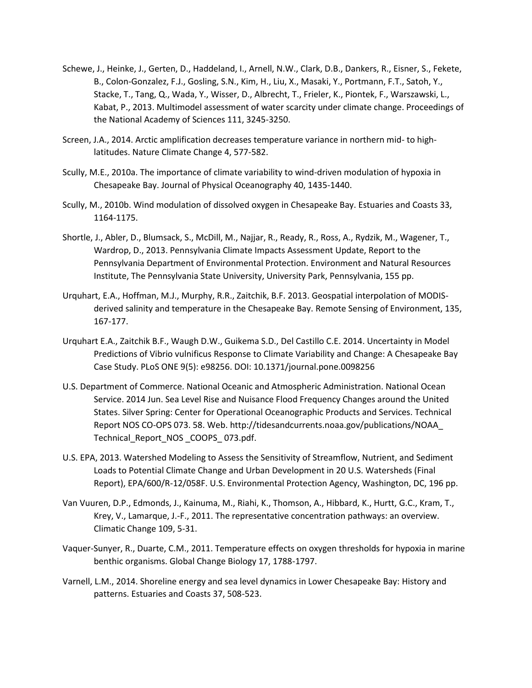- Schewe, J., Heinke, J., Gerten, D., Haddeland, I., Arnell, N.W., Clark, D.B., Dankers, R., Eisner, S., Fekete, B., Colon-Gonzalez, F.J., Gosling, S.N., Kim, H., Liu, X., Masaki, Y., Portmann, F.T., Satoh, Y., Stacke, T., Tang, Q., Wada, Y., Wisser, D., Albrecht, T., Frieler, K., Piontek, F., Warszawski, L., Kabat, P., 2013. Multimodel assessment of water scarcity under climate change. Proceedings of the National Academy of Sciences 111, 3245-3250.
- Screen, J.A., 2014. Arctic amplification decreases temperature variance in northern mid- to highlatitudes. Nature Climate Change 4, 577-582.
- Scully, M.E., 2010a. The importance of climate variability to wind-driven modulation of hypoxia in Chesapeake Bay. Journal of Physical Oceanography 40, 1435-1440.
- Scully, M., 2010b. Wind modulation of dissolved oxygen in Chesapeake Bay. Estuaries and Coasts 33, 1164-1175.
- Shortle, J., Abler, D., Blumsack, S., McDill, M., Najjar, R., Ready, R., Ross, A., Rydzik, M., Wagener, T., Wardrop, D., 2013. Pennsylvania Climate Impacts Assessment Update, Report to the Pennsylvania Department of Environmental Protection. Environment and Natural Resources Institute, The Pennsylvania State University, University Park, Pennsylvania, 155 pp.
- Urquhart, E.A., Hoffman, M.J., Murphy, R.R., Zaitchik, B.F. 2013. Geospatial interpolation of MODISderived salinity and temperature in the Chesapeake Bay. Remote Sensing of Environment, 135, 167-177.
- Urquhart E.A., Zaitchik B.F., Waugh D.W., Guikema S.D., Del Castillo C.E. 2014. Uncertainty in Model Predictions of Vibrio vulnificus Response to Climate Variability and Change: A Chesapeake Bay Case Study. PLoS ONE 9(5): e98256. DOI: 10.1371/journal.pone.0098256
- U.S. Department of Commerce. National Oceanic and Atmospheric Administration. National Ocean Service. 2014 Jun. Sea Level Rise and Nuisance Flood Frequency Changes around the United States. Silver Spring: Center for Operational Oceanographic Products and Services. Technical Report NOS CO-OPS 073. 58. Web. http://tidesandcurrents.noaa.gov/publications/NOAA\_ Technical\_Report\_NOS \_COOPS\_ 073.pdf.
- U.S. EPA, 2013. Watershed Modeling to Assess the Sensitivity of Streamflow, Nutrient, and Sediment Loads to Potential Climate Change and Urban Development in 20 U.S. Watersheds (Final Report), EPA/600/R-12/058F. U.S. Environmental Protection Agency, Washington, DC, 196 pp.
- Van Vuuren, D.P., Edmonds, J., Kainuma, M., Riahi, K., Thomson, A., Hibbard, K., Hurtt, G.C., Kram, T., Krey, V., Lamarque, J.-F., 2011. The representative concentration pathways: an overview. Climatic Change 109, 5-31.
- Vaquer-Sunyer, R., Duarte, C.M., 2011. Temperature effects on oxygen thresholds for hypoxia in marine benthic organisms. Global Change Biology 17, 1788-1797.
- Varnell, L.M., 2014. Shoreline energy and sea level dynamics in Lower Chesapeake Bay: History and patterns. Estuaries and Coasts 37, 508-523.